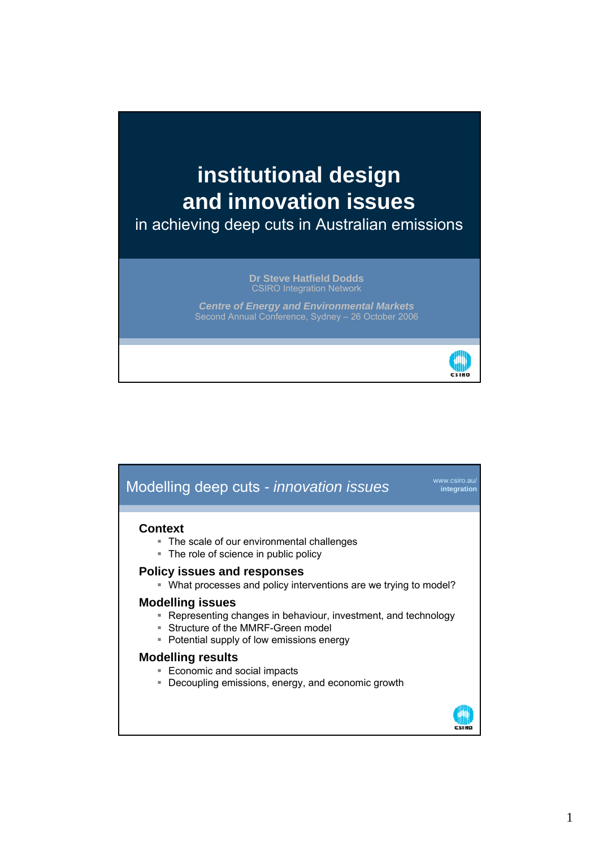# **institutional design and innovation issues**  in achieving deep cuts in Australian emissions

**Dr Steve Hatfield Dodds**  CSIRO Integration Network

**Centre of Energy and Environmental Markets** Second Annual Conference, Sydney – 26 October 2006



## www.csiro.au/ **integration Context** The scale of our environmental challenges • The role of science in public policy **Policy issues and responses**  What processes and policy interventions are we trying to model? **Modelling issues**  Representing changes in behaviour, investment, and technology Structure of the MMRF-Green model **Potential supply of low emissions energy Modelling results** ■ Economic and social impacts **Decoupling emissions, energy, and economic growth** Modelling deep cuts *- innovation issues*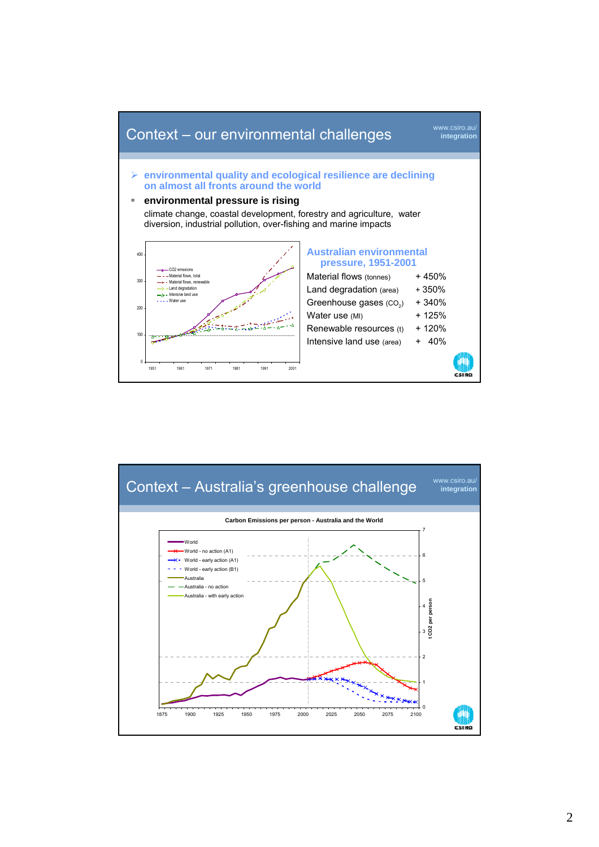

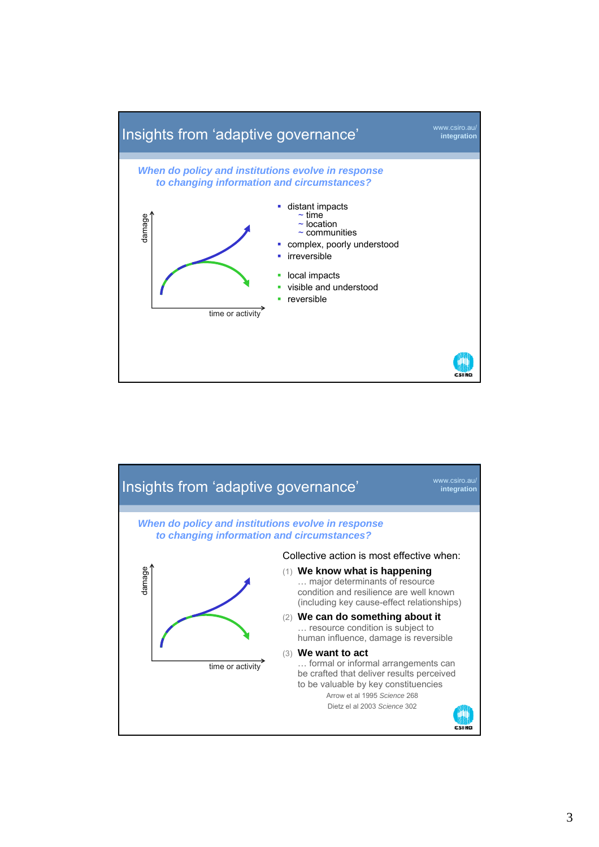

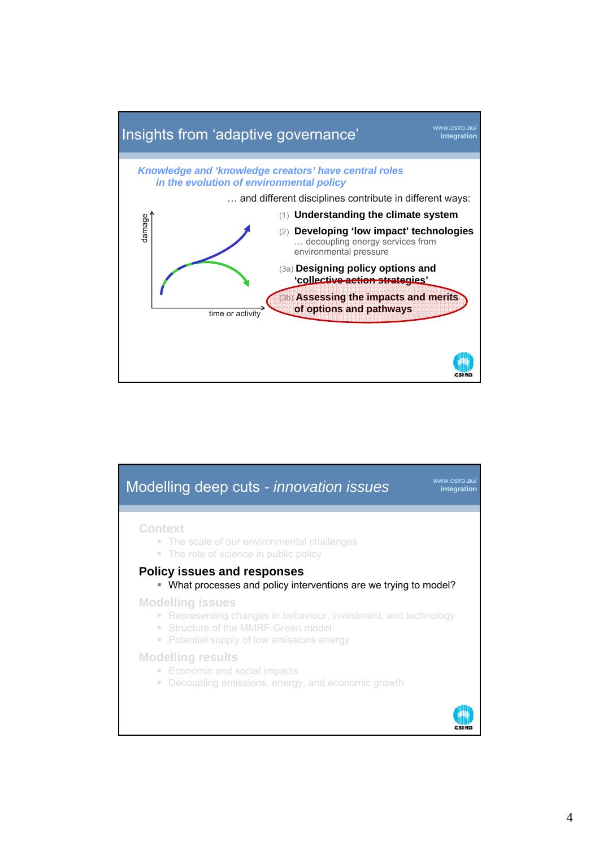

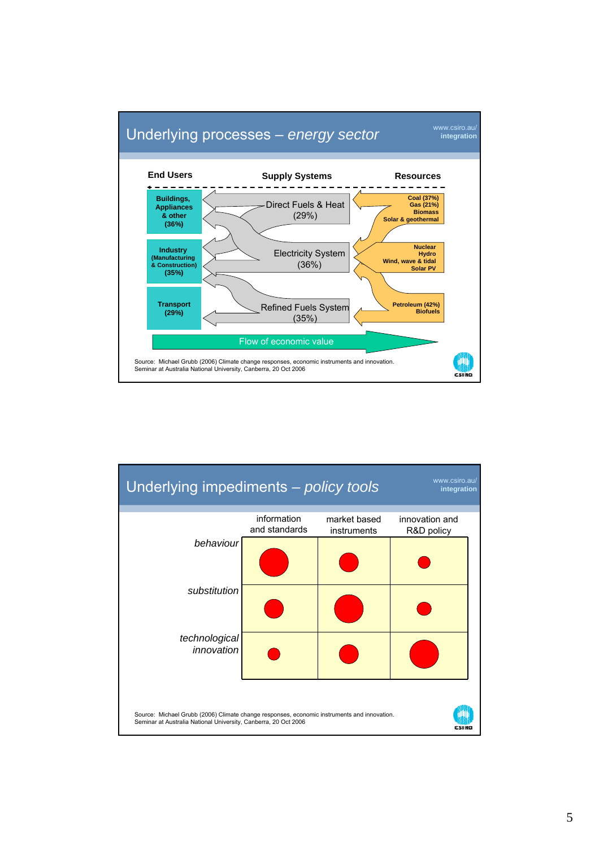

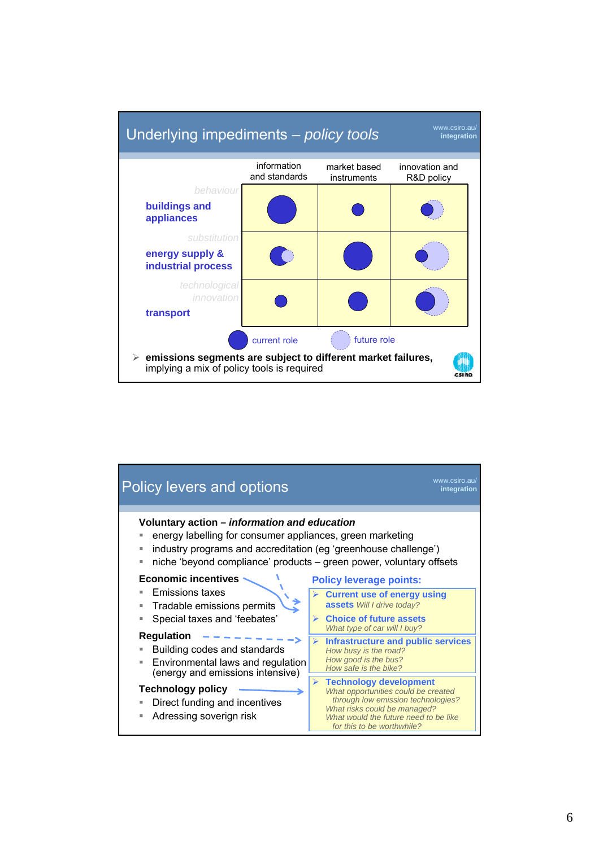

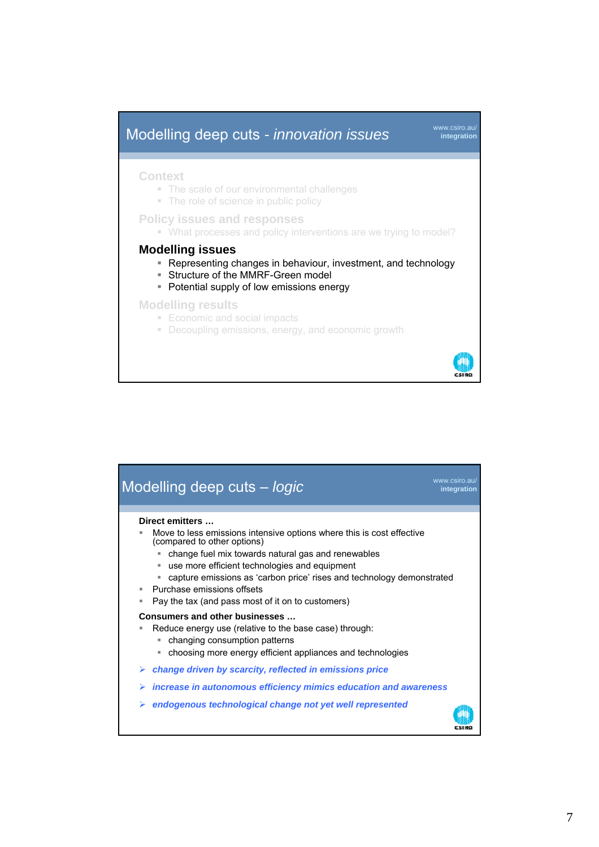

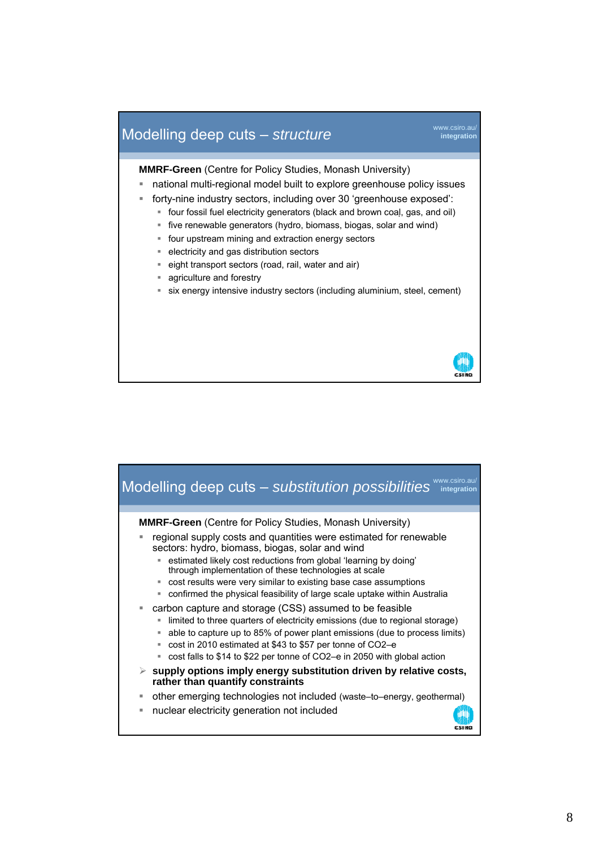## **Modelling deep cuts –** *structure* **integration integration**

**MMRF-Green** (Centre for Policy Studies, Monash University)

- national multi-regional model built to explore greenhouse policy issues
- forty-nine industry sectors, including over 30 'greenhouse exposed':
	- four fossil fuel electricity generators (black and brown coal, gas, and oil)
	- five renewable generators (hydro, biomass, biogas, solar and wind)
	- four upstream mining and extraction energy sectors
	- electricity and gas distribution sectors
	- **eight transport sectors (road, rail, water and air)**
	- **agriculture and forestry**
	- six energy intensive industry sectors (including aluminium, steel, cement)



#### Modelling deep cuts - *substitution possibilities* With the gration **MMRF-Green** (Centre for Policy Studies, Monash University) regional supply costs and quantities were estimated for renewable sectors: hydro, biomass, biogas, solar and wind estimated likely cost reductions from global 'learning by doing' through implementation of these technologies at scale cost results were very similar to existing base case assumptions confirmed the physical feasibility of large scale uptake within Australia carbon capture and storage (CSS) assumed to be feasible limited to three quarters of electricity emissions (due to regional storage) able to capture up to 85% of power plant emissions (due to process limits) ■ cost in 2010 estimated at \$43 to \$57 per tonne of CO2–e ■ cost falls to \$14 to \$22 per tonne of CO2–e in 2050 with global action ¾ **supply options imply energy substitution driven by relative costs, rather than quantify constraints** other emerging technologies not included (waste–to–energy, geothermal) nuclear electricity generation not included **CRIME**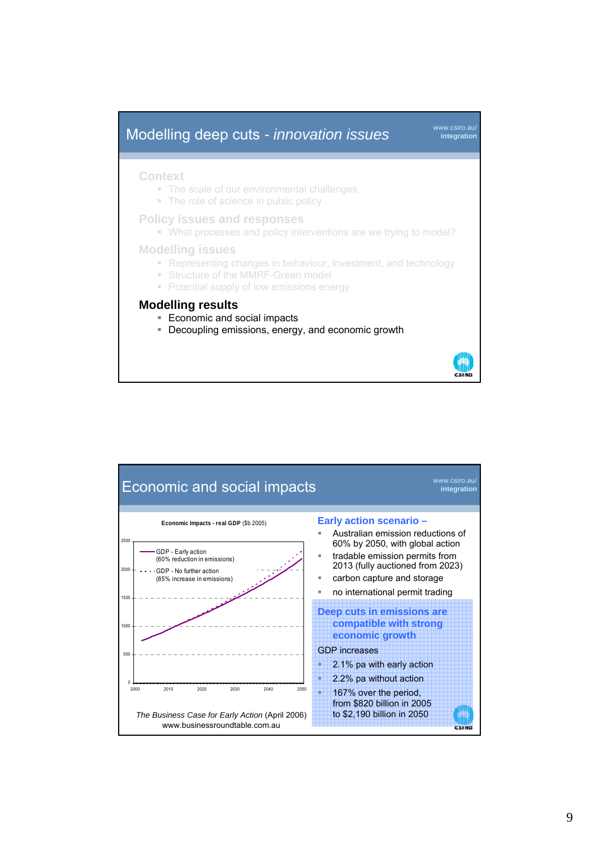### **integration Context** • The scale of our environmental challenges • The role of science in public policy **Policy issues and responses**  What processes and policy interventions are we trying to model? **Modelling issues**  • Representing changes in behaviour, investment, and technology **Structure of the MMRF-Green model** • Potential supply of low emissions energy **Modelling results Economic and social impacts** Decoupling emissions, energy, and economic growth Modelling deep cuts *- innovation issues*

**THE REAL** 

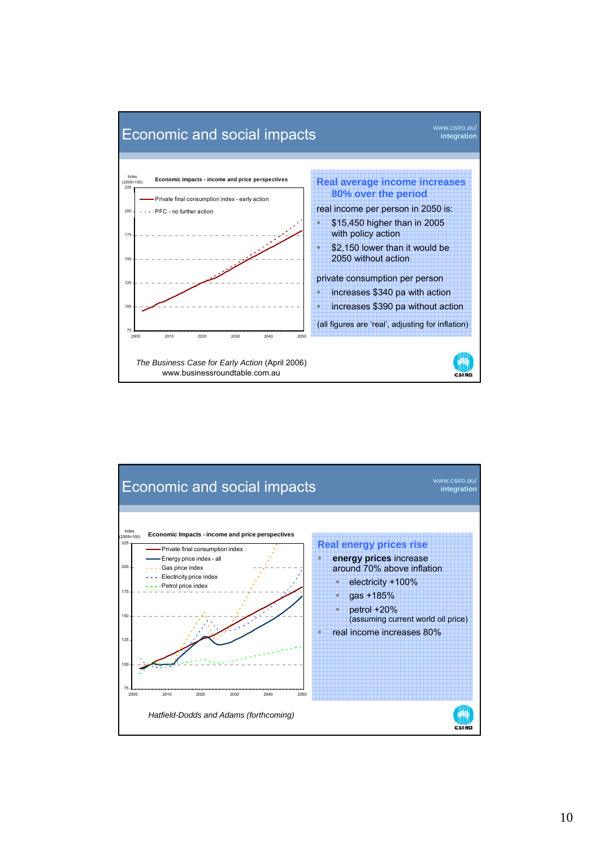

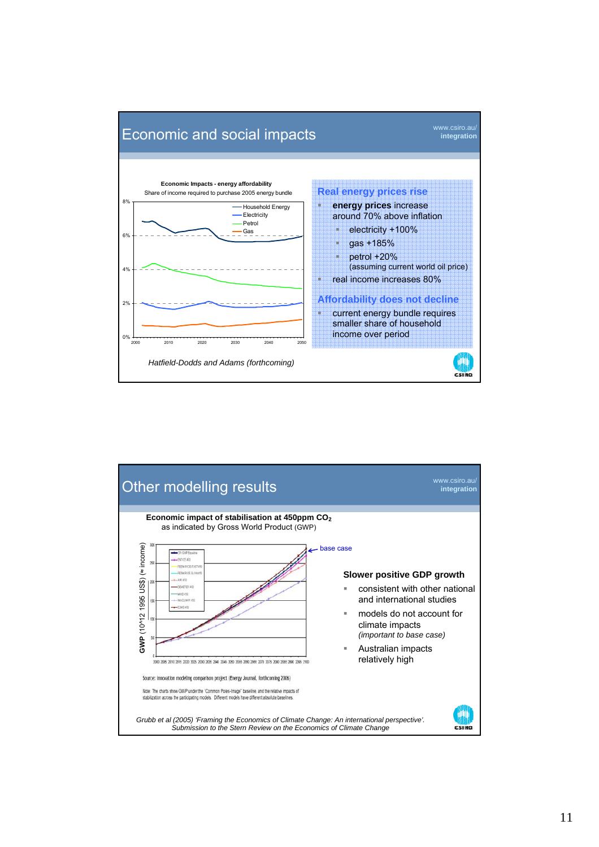

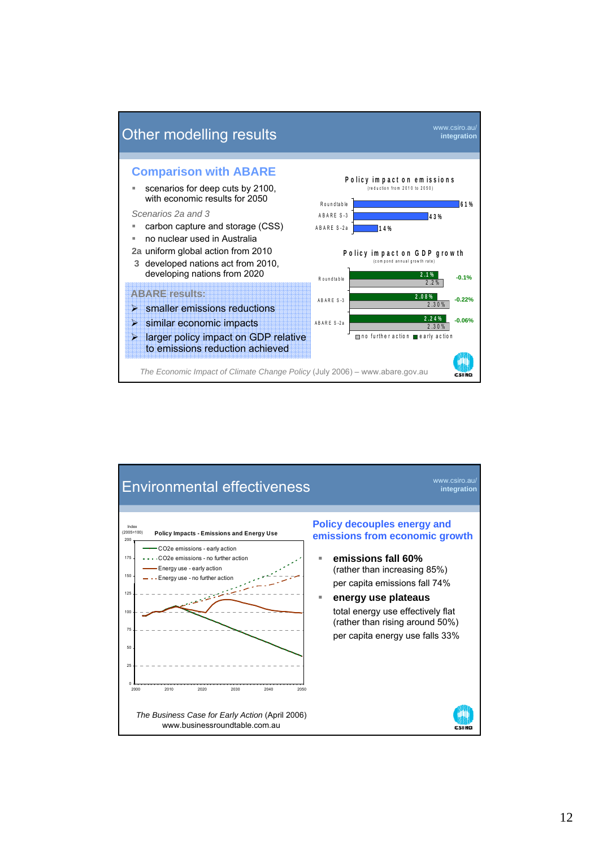

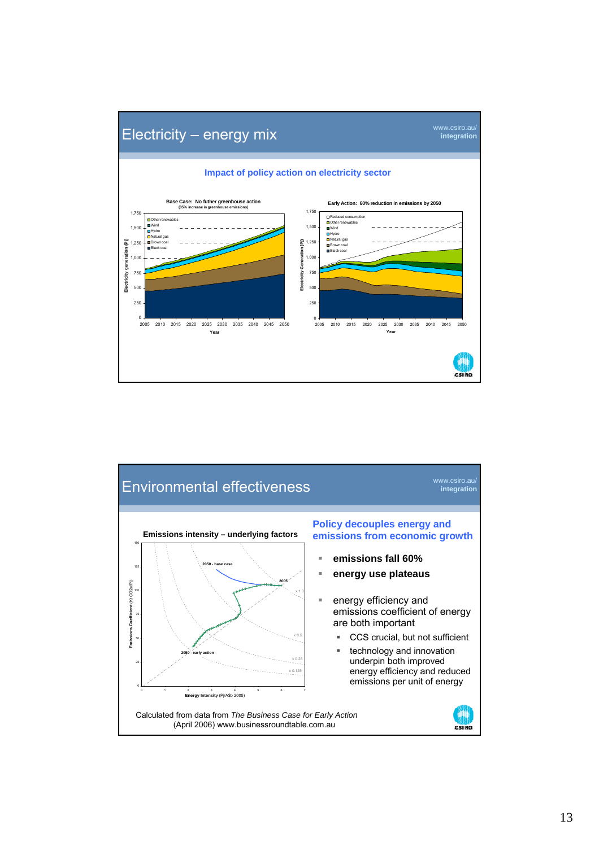

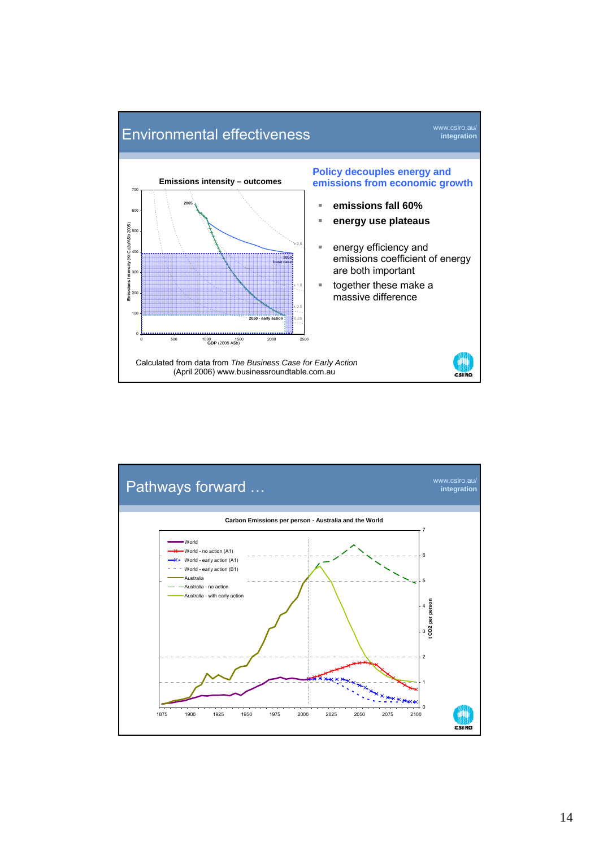

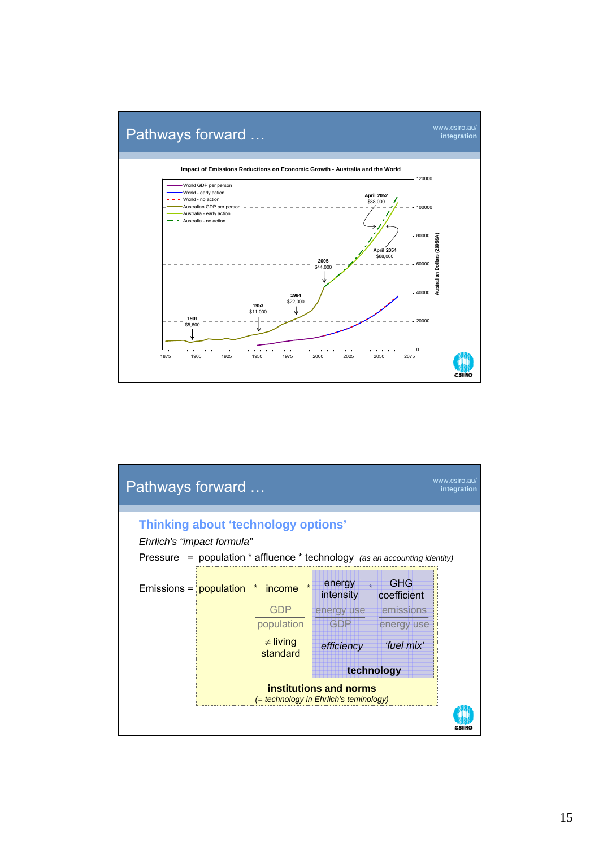

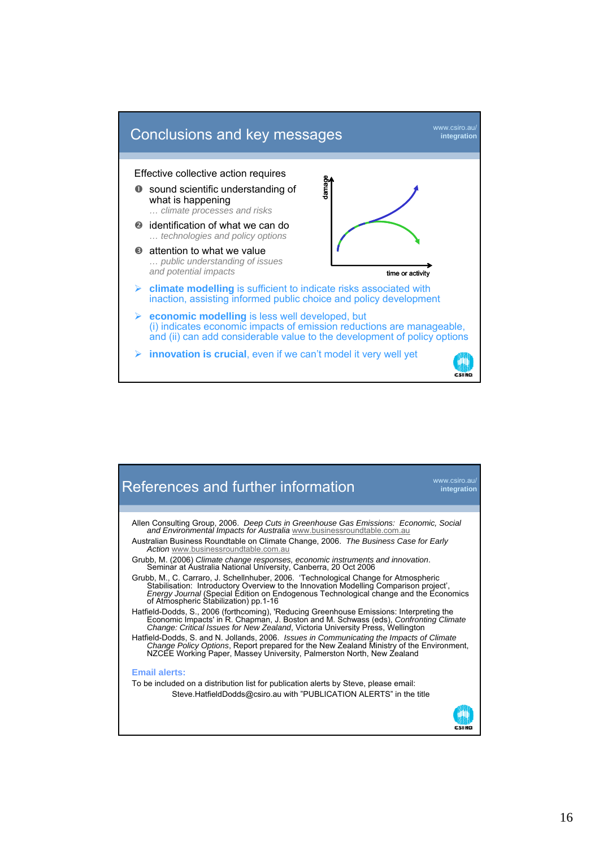

![](_page_15_Figure_1.jpeg)